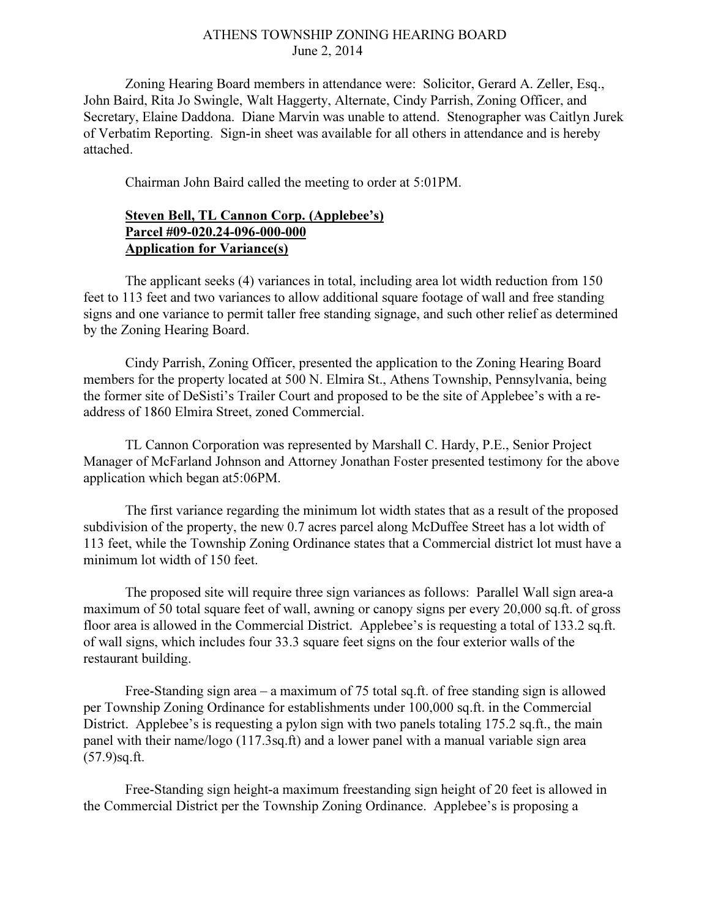## ATHENS TOWNSHIP ZONING HEARING BOARD June 2, 2014

Zoning Hearing Board members in attendance were: Solicitor, Gerard A. Zeller, Esq., John Baird, Rita Jo Swingle, Walt Haggerty, Alternate, Cindy Parrish, Zoning Officer, and Secretary, Elaine Daddona. Diane Marvin was unable to attend. Stenographer was Caitlyn Jurek of Verbatim Reporting. Sign-in sheet was available for all others in attendance and is hereby attached.

Chairman John Baird called the meeting to order at 5:01PM.

## Steven Bell, TL Cannon Corp. (Applebee's) Parcel #09-020.24-096-000-000 Application for Variance(s)

 The applicant seeks (4) variances in total, including area lot width reduction from 150 feet to 113 feet and two variances to allow additional square footage of wall and free standing signs and one variance to permit taller free standing signage, and such other relief as determined by the Zoning Hearing Board.

 Cindy Parrish, Zoning Officer, presented the application to the Zoning Hearing Board members for the property located at 500 N. Elmira St., Athens Township, Pennsylvania, being the former site of DeSisti's Trailer Court and proposed to be the site of Applebee's with a readdress of 1860 Elmira Street, zoned Commercial.

 TL Cannon Corporation was represented by Marshall C. Hardy, P.E., Senior Project Manager of McFarland Johnson and Attorney Jonathan Foster presented testimony for the above application which began at5:06PM.

The first variance regarding the minimum lot width states that as a result of the proposed subdivision of the property, the new 0.7 acres parcel along McDuffee Street has a lot width of 113 feet, while the Township Zoning Ordinance states that a Commercial district lot must have a minimum lot width of 150 feet.

The proposed site will require three sign variances as follows: Parallel Wall sign area-a maximum of 50 total square feet of wall, awning or canopy signs per every 20,000 sq.ft. of gross floor area is allowed in the Commercial District. Applebee's is requesting a total of 133.2 sq.ft. of wall signs, which includes four 33.3 square feet signs on the four exterior walls of the restaurant building.

Free-Standing sign area – a maximum of 75 total sq.ft. of free standing sign is allowed per Township Zoning Ordinance for establishments under 100,000 sq.ft. in the Commercial District. Applebee's is requesting a pylon sign with two panels totaling 175.2 sq.ft., the main panel with their name/logo (117.3sq.ft) and a lower panel with a manual variable sign area (57.9)sq.ft.

Free-Standing sign height-a maximum freestanding sign height of 20 feet is allowed in the Commercial District per the Township Zoning Ordinance. Applebee's is proposing a